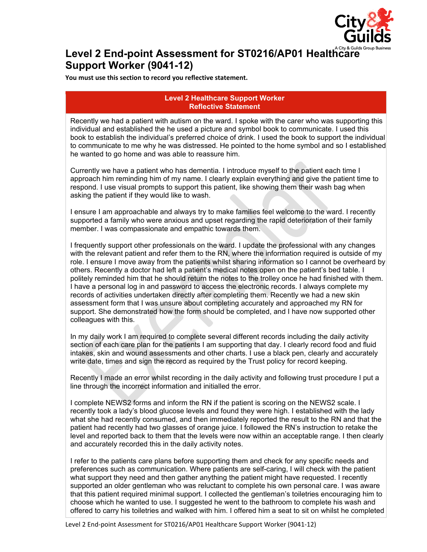

## Level 2 End-point Assessment for ST0216/AP01 Healthcare **Support Worker (9041-12)**

**You must use this section to record you reflective statement.**

## **Level 2 Healthcare Support Worker Reflective Statement**

Recently we had a patient with autism on the ward. I spoke with the carer who was supporting this individual and established the he used a picture and symbol book to communicate. I used this book to establish the individual's preferred choice of drink. I used the book to support the individual to communicate to me why he was distressed. He pointed to the home symbol and so I established he wanted to go home and was able to reassure him.

Currently we have a patient who has dementia. I introduce myself to the patient each time I approach him reminding him of my name. I clearly explain everything and give the patient time to respond. I use visual prompts to support this patient, like showing them their wash bag when asking the patient if they would like to wash.

I ensure I am approachable and always try to make families feel welcome to the ward. I recently supported a family who were anxious and upset regarding the rapid deterioration of their family member. I was compassionate and empathic towards them.

I frequently support other professionals on the ward. I update the professional with any changes with the relevant patient and refer them to the RN, where the information required is outside of my role. I ensure I move away from the patients whilst sharing information so I cannot be overheard by others. Recently a doctor had left a patient's medical notes open on the patient's bed table. I politely reminded him that he should return the notes to the trolley once he had finished with them. I have a personal log in and password to access the electronic records. I always complete my records of activities undertaken directly after completing them. Recently we had a new skin assessment form that I was unsure about completing accurately and approached my RN for support. She demonstrated how the form should be completed, and I have now supported other colleagues with this.

In my daily work I am required to complete several different records including the daily activity section of each care plan for the patients I am supporting that day. I clearly record food and fluid intakes, skin and wound assessments and other charts. I use a black pen, clearly and accurately write date, times and sign the record as required by the Trust policy for record keeping.

Recently I made an error whilst recording in the daily activity and following trust procedure I put a line through the incorrect information and initialled the error.

I complete NEWS2 forms and inform the RN if the patient is scoring on the NEWS2 scale. I recently took a lady's blood glucose levels and found they were high. I established with the lady what she had recently consumed, and then immediately reported the result to the RN and that the patient had recently had two glasses of orange juice. I followed the RN's instruction to retake the level and reported back to them that the levels were now within an acceptable range. I then clearly and accurately recorded this in the daily activity notes.

I refer to the patients care plans before supporting them and check for any specific needs and preferences such as communication. Where patients are self-caring, I will check with the patient what support they need and then gather anything the patient might have requested. I recently supported an older gentleman who was reluctant to complete his own personal care. I was aware that this patient required minimal support. I collected the gentleman's toiletries encouraging him to choose which he wanted to use. I suggested he went to the bathroom to complete his wash and offered to carry his toiletries and walked with him. I offered him a seat to sit on whilst he completed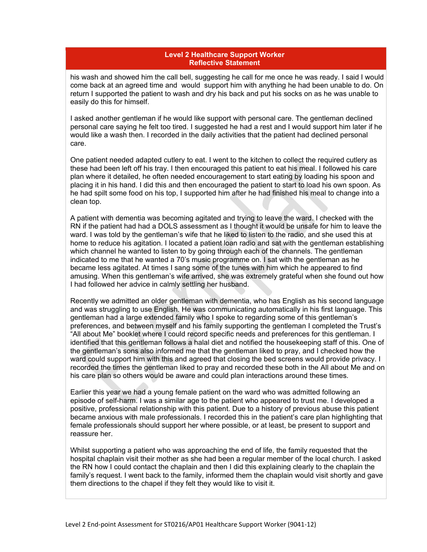## **Level 2 Healthcare Support Worker Reflective Statement**

his wash and showed him the call bell, suggesting he call for me once he was ready. I said I would come back at an agreed time and would support him with anything he had been unable to do. On return I supported the patient to wash and dry his back and put his socks on as he was unable to easily do this for himself.

I asked another gentleman if he would like support with personal care. The gentleman declined personal care saying he felt too tired. I suggested he had a rest and I would support him later if he would like a wash then. I recorded in the daily activities that the patient had declined personal care.

One patient needed adapted cutlery to eat. I went to the kitchen to collect the required cutlery as these had been left off his tray. I then encouraged this patient to eat his meal. I followed his care plan where it detailed, he often needed encouragement to start eating by loading his spoon and placing it in his hand. I did this and then encouraged the patient to start to load his own spoon. As he had spilt some food on his top, I supported him after he had finished his meal to change into a clean top.

A patient with dementia was becoming agitated and trying to leave the ward. I checked with the RN if the patient had had a DOLS assessment as I thought it would be unsafe for him to leave the ward. I was told by the gentleman's wife that he liked to listen to the radio, and she used this at home to reduce his agitation. I located a patient loan radio and sat with the gentleman establishing which channel he wanted to listen to by going through each of the channels. The gentleman indicated to me that he wanted a 70's music programme on. I sat with the gentleman as he became less agitated. At times I sang some of the tunes with him which he appeared to find amusing. When this gentleman's wife arrived, she was extremely grateful when she found out how I had followed her advice in calmly settling her husband.

Recently we admitted an older gentleman with dementia, who has English as his second language and was struggling to use English. He was communicating automatically in his first language. This gentleman had a large extended family who I spoke to regarding some of this gentleman's preferences, and between myself and his family supporting the gentleman I completed the Trust's "All about Me" booklet where I could record specific needs and preferences for this gentleman. I identified that this gentleman follows a halal diet and notified the housekeeping staff of this. One of the gentleman's sons also informed me that the gentleman liked to pray, and I checked how the ward could support him with this and agreed that closing the bed screens would provide privacy. I recorded the times the gentleman liked to pray and recorded these both in the All about Me and on his care plan so others would be aware and could plan interactions around these times.

Earlier this year we had a young female patient on the ward who was admitted following an episode of self-harm. I was a similar age to the patient who appeared to trust me. I developed a positive, professional relationship with this patient. Due to a history of previous abuse this patient became anxious with male professionals. I recorded this in the patient's care plan highlighting that female professionals should support her where possible, or at least, be present to support and reassure her.

Whilst supporting a patient who was approaching the end of life, the family requested that the hospital chaplain visit their mother as she had been a regular member of the local church. I asked the RN how I could contact the chaplain and then I did this explaining clearly to the chaplain the family's request. I went back to the family, informed them the chaplain would visit shortly and gave them directions to the chapel if they felt they would like to visit it.